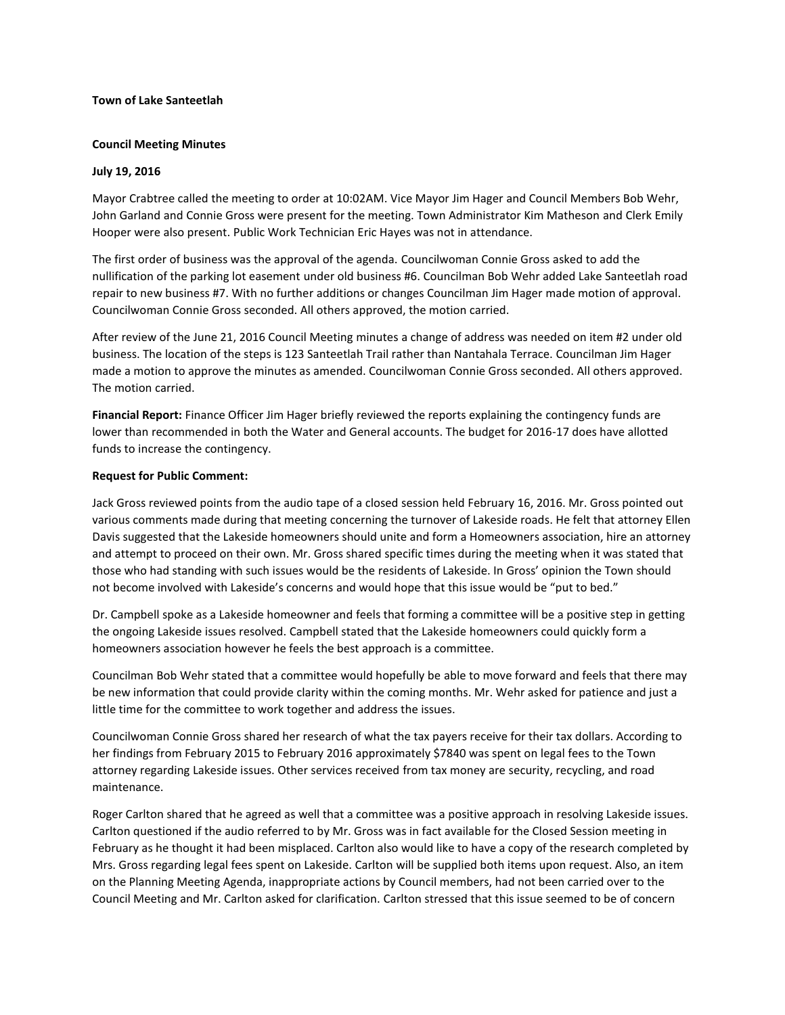## **Town of Lake Santeetlah**

# **Council Meeting Minutes**

# **July 19, 2016**

Mayor Crabtree called the meeting to order at 10:02AM. Vice Mayor Jim Hager and Council Members Bob Wehr, John Garland and Connie Gross were present for the meeting. Town Administrator Kim Matheson and Clerk Emily Hooper were also present. Public Work Technician Eric Hayes was not in attendance.

The first order of business was the approval of the agenda. Councilwoman Connie Gross asked to add the nullification of the parking lot easement under old business #6. Councilman Bob Wehr added Lake Santeetlah road repair to new business #7. With no further additions or changes Councilman Jim Hager made motion of approval. Councilwoman Connie Gross seconded. All others approved, the motion carried.

After review of the June 21, 2016 Council Meeting minutes a change of address was needed on item #2 under old business. The location of the steps is 123 Santeetlah Trail rather than Nantahala Terrace. Councilman Jim Hager made a motion to approve the minutes as amended. Councilwoman Connie Gross seconded. All others approved. The motion carried.

**Financial Report:** Finance Officer Jim Hager briefly reviewed the reports explaining the contingency funds are lower than recommended in both the Water and General accounts. The budget for 2016-17 does have allotted funds to increase the contingency.

## **Request for Public Comment:**

Jack Gross reviewed points from the audio tape of a closed session held February 16, 2016. Mr. Gross pointed out various comments made during that meeting concerning the turnover of Lakeside roads. He felt that attorney Ellen Davis suggested that the Lakeside homeowners should unite and form a Homeowners association, hire an attorney and attempt to proceed on their own. Mr. Gross shared specific times during the meeting when it was stated that those who had standing with such issues would be the residents of Lakeside. In Gross' opinion the Town should not become involved with Lakeside's concerns and would hope that this issue would be "put to bed."

Dr. Campbell spoke as a Lakeside homeowner and feels that forming a committee will be a positive step in getting the ongoing Lakeside issues resolved. Campbell stated that the Lakeside homeowners could quickly form a homeowners association however he feels the best approach is a committee.

Councilman Bob Wehr stated that a committee would hopefully be able to move forward and feels that there may be new information that could provide clarity within the coming months. Mr. Wehr asked for patience and just a little time for the committee to work together and address the issues.

Councilwoman Connie Gross shared her research of what the tax payers receive for their tax dollars. According to her findings from February 2015 to February 2016 approximately \$7840 was spent on legal fees to the Town attorney regarding Lakeside issues. Other services received from tax money are security, recycling, and road maintenance.

Roger Carlton shared that he agreed as well that a committee was a positive approach in resolving Lakeside issues. Carlton questioned if the audio referred to by Mr. Gross was in fact available for the Closed Session meeting in February as he thought it had been misplaced. Carlton also would like to have a copy of the research completed by Mrs. Gross regarding legal fees spent on Lakeside. Carlton will be supplied both items upon request. Also, an item on the Planning Meeting Agenda, inappropriate actions by Council members, had not been carried over to the Council Meeting and Mr. Carlton asked for clarification. Carlton stressed that this issue seemed to be of concern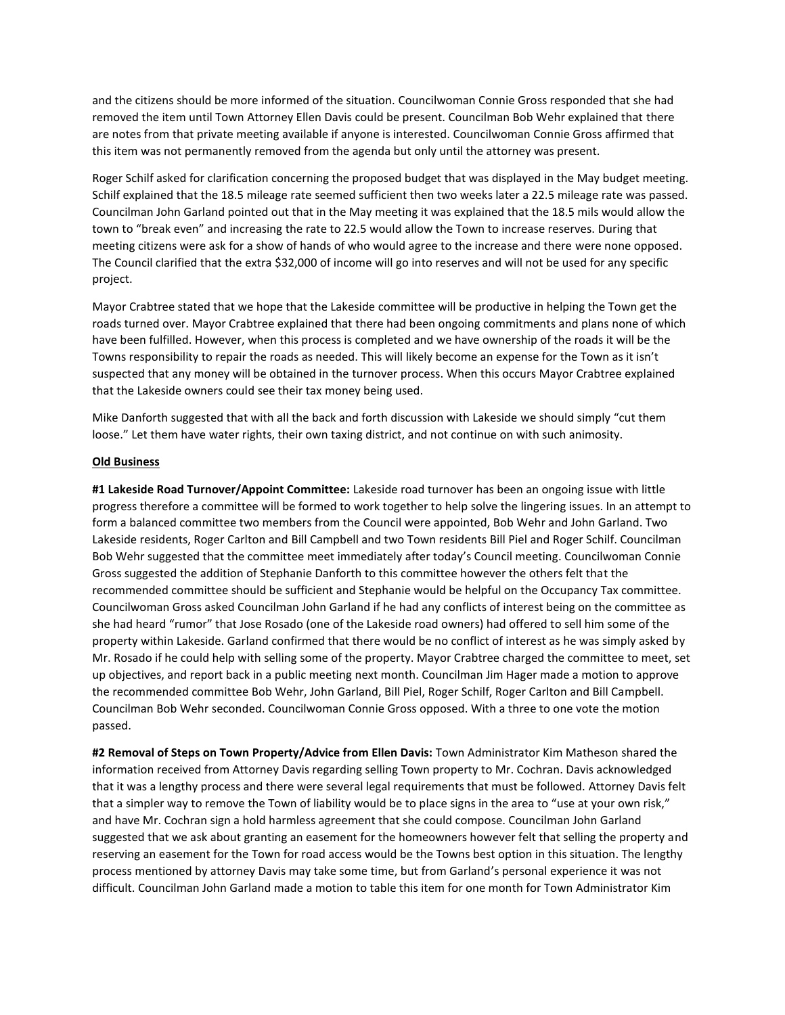and the citizens should be more informed of the situation. Councilwoman Connie Gross responded that she had removed the item until Town Attorney Ellen Davis could be present. Councilman Bob Wehr explained that there are notes from that private meeting available if anyone is interested. Councilwoman Connie Gross affirmed that this item was not permanently removed from the agenda but only until the attorney was present.

Roger Schilf asked for clarification concerning the proposed budget that was displayed in the May budget meeting. Schilf explained that the 18.5 mileage rate seemed sufficient then two weeks later a 22.5 mileage rate was passed. Councilman John Garland pointed out that in the May meeting it was explained that the 18.5 mils would allow the town to "break even" and increasing the rate to 22.5 would allow the Town to increase reserves. During that meeting citizens were ask for a show of hands of who would agree to the increase and there were none opposed. The Council clarified that the extra \$32,000 of income will go into reserves and will not be used for any specific project.

Mayor Crabtree stated that we hope that the Lakeside committee will be productive in helping the Town get the roads turned over. Mayor Crabtree explained that there had been ongoing commitments and plans none of which have been fulfilled. However, when this process is completed and we have ownership of the roads it will be the Towns responsibility to repair the roads as needed. This will likely become an expense for the Town as it isn't suspected that any money will be obtained in the turnover process. When this occurs Mayor Crabtree explained that the Lakeside owners could see their tax money being used.

Mike Danforth suggested that with all the back and forth discussion with Lakeside we should simply "cut them loose." Let them have water rights, their own taxing district, and not continue on with such animosity.

## **Old Business**

**#1 Lakeside Road Turnover/Appoint Committee:** Lakeside road turnover has been an ongoing issue with little progress therefore a committee will be formed to work together to help solve the lingering issues. In an attempt to form a balanced committee two members from the Council were appointed, Bob Wehr and John Garland. Two Lakeside residents, Roger Carlton and Bill Campbell and two Town residents Bill Piel and Roger Schilf. Councilman Bob Wehr suggested that the committee meet immediately after today's Council meeting. Councilwoman Connie Gross suggested the addition of Stephanie Danforth to this committee however the others felt that the recommended committee should be sufficient and Stephanie would be helpful on the Occupancy Tax committee. Councilwoman Gross asked Councilman John Garland if he had any conflicts of interest being on the committee as she had heard "rumor" that Jose Rosado (one of the Lakeside road owners) had offered to sell him some of the property within Lakeside. Garland confirmed that there would be no conflict of interest as he was simply asked by Mr. Rosado if he could help with selling some of the property. Mayor Crabtree charged the committee to meet, set up objectives, and report back in a public meeting next month. Councilman Jim Hager made a motion to approve the recommended committee Bob Wehr, John Garland, Bill Piel, Roger Schilf, Roger Carlton and Bill Campbell. Councilman Bob Wehr seconded. Councilwoman Connie Gross opposed. With a three to one vote the motion passed.

**#2 Removal of Steps on Town Property/Advice from Ellen Davis:** Town Administrator Kim Matheson shared the information received from Attorney Davis regarding selling Town property to Mr. Cochran. Davis acknowledged that it was a lengthy process and there were several legal requirements that must be followed. Attorney Davis felt that a simpler way to remove the Town of liability would be to place signs in the area to "use at your own risk," and have Mr. Cochran sign a hold harmless agreement that she could compose. Councilman John Garland suggested that we ask about granting an easement for the homeowners however felt that selling the property and reserving an easement for the Town for road access would be the Towns best option in this situation. The lengthy process mentioned by attorney Davis may take some time, but from Garland's personal experience it was not difficult. Councilman John Garland made a motion to table this item for one month for Town Administrator Kim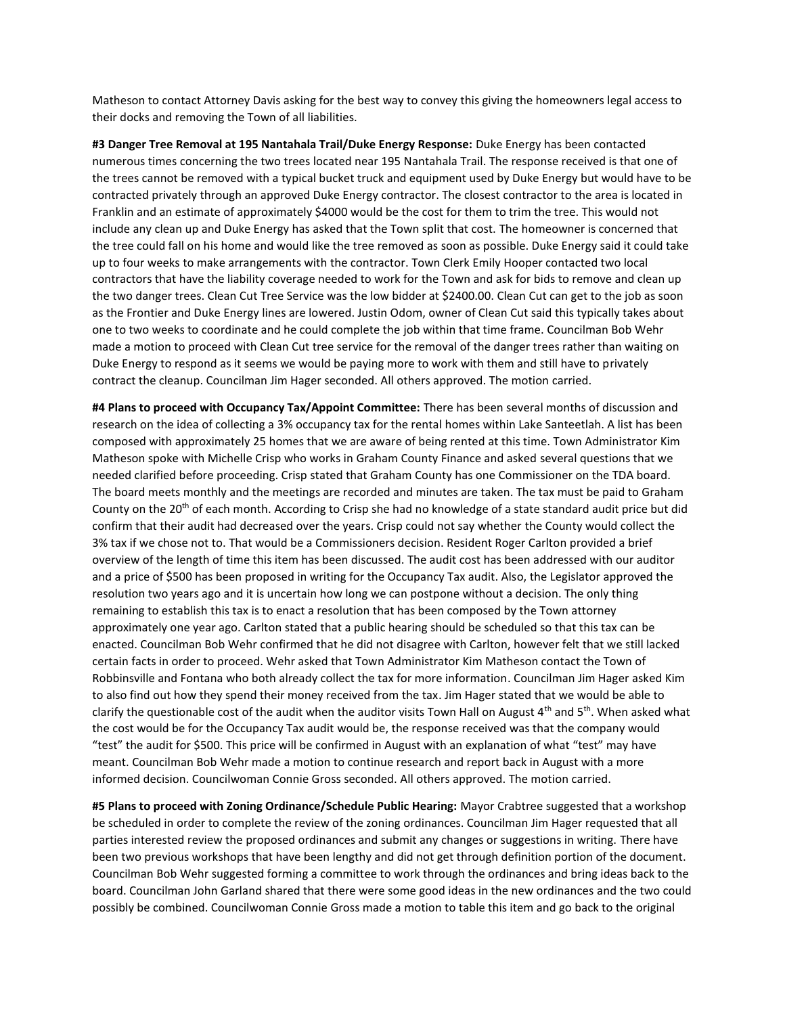Matheson to contact Attorney Davis asking for the best way to convey this giving the homeowners legal access to their docks and removing the Town of all liabilities.

**#3 Danger Tree Removal at 195 Nantahala Trail/Duke Energy Response:** Duke Energy has been contacted numerous times concerning the two trees located near 195 Nantahala Trail. The response received is that one of the trees cannot be removed with a typical bucket truck and equipment used by Duke Energy but would have to be contracted privately through an approved Duke Energy contractor. The closest contractor to the area is located in Franklin and an estimate of approximately \$4000 would be the cost for them to trim the tree. This would not include any clean up and Duke Energy has asked that the Town split that cost. The homeowner is concerned that the tree could fall on his home and would like the tree removed as soon as possible. Duke Energy said it could take up to four weeks to make arrangements with the contractor. Town Clerk Emily Hooper contacted two local contractors that have the liability coverage needed to work for the Town and ask for bids to remove and clean up the two danger trees. Clean Cut Tree Service was the low bidder at \$2400.00. Clean Cut can get to the job as soon as the Frontier and Duke Energy lines are lowered. Justin Odom, owner of Clean Cut said this typically takes about one to two weeks to coordinate and he could complete the job within that time frame. Councilman Bob Wehr made a motion to proceed with Clean Cut tree service for the removal of the danger trees rather than waiting on Duke Energy to respond as it seems we would be paying more to work with them and still have to privately contract the cleanup. Councilman Jim Hager seconded. All others approved. The motion carried.

**#4 Plans to proceed with Occupancy Tax/Appoint Committee:** There has been several months of discussion and research on the idea of collecting a 3% occupancy tax for the rental homes within Lake Santeetlah. A list has been composed with approximately 25 homes that we are aware of being rented at this time. Town Administrator Kim Matheson spoke with Michelle Crisp who works in Graham County Finance and asked several questions that we needed clarified before proceeding. Crisp stated that Graham County has one Commissioner on the TDA board. The board meets monthly and the meetings are recorded and minutes are taken. The tax must be paid to Graham County on the 20<sup>th</sup> of each month. According to Crisp she had no knowledge of a state standard audit price but did confirm that their audit had decreased over the years. Crisp could not say whether the County would collect the 3% tax if we chose not to. That would be a Commissioners decision. Resident Roger Carlton provided a brief overview of the length of time this item has been discussed. The audit cost has been addressed with our auditor and a price of \$500 has been proposed in writing for the Occupancy Tax audit. Also, the Legislator approved the resolution two years ago and it is uncertain how long we can postpone without a decision. The only thing remaining to establish this tax is to enact a resolution that has been composed by the Town attorney approximately one year ago. Carlton stated that a public hearing should be scheduled so that this tax can be enacted. Councilman Bob Wehr confirmed that he did not disagree with Carlton, however felt that we still lacked certain facts in order to proceed. Wehr asked that Town Administrator Kim Matheson contact the Town of Robbinsville and Fontana who both already collect the tax for more information. Councilman Jim Hager asked Kim to also find out how they spend their money received from the tax. Jim Hager stated that we would be able to clarify the questionable cost of the audit when the auditor visits Town Hall on August 4<sup>th</sup> and 5<sup>th</sup>. When asked what the cost would be for the Occupancy Tax audit would be, the response received was that the company would "test" the audit for \$500. This price will be confirmed in August with an explanation of what "test" may have meant. Councilman Bob Wehr made a motion to continue research and report back in August with a more informed decision. Councilwoman Connie Gross seconded. All others approved. The motion carried.

**#5 Plans to proceed with Zoning Ordinance/Schedule Public Hearing:** Mayor Crabtree suggested that a workshop be scheduled in order to complete the review of the zoning ordinances. Councilman Jim Hager requested that all parties interested review the proposed ordinances and submit any changes or suggestions in writing. There have been two previous workshops that have been lengthy and did not get through definition portion of the document. Councilman Bob Wehr suggested forming a committee to work through the ordinances and bring ideas back to the board. Councilman John Garland shared that there were some good ideas in the new ordinances and the two could possibly be combined. Councilwoman Connie Gross made a motion to table this item and go back to the original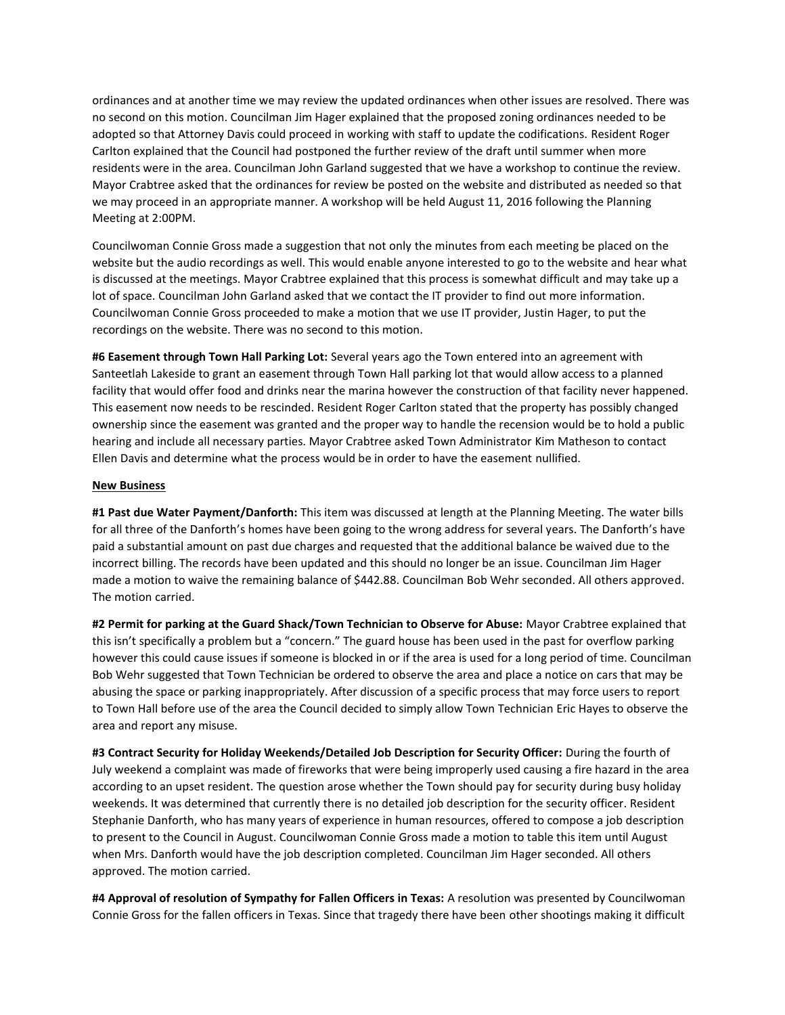ordinances and at another time we may review the updated ordinances when other issues are resolved. There was no second on this motion. Councilman Jim Hager explained that the proposed zoning ordinances needed to be adopted so that Attorney Davis could proceed in working with staff to update the codifications. Resident Roger Carlton explained that the Council had postponed the further review of the draft until summer when more residents were in the area. Councilman John Garland suggested that we have a workshop to continue the review. Mayor Crabtree asked that the ordinances for review be posted on the website and distributed as needed so that we may proceed in an appropriate manner. A workshop will be held August 11, 2016 following the Planning Meeting at 2:00PM.

Councilwoman Connie Gross made a suggestion that not only the minutes from each meeting be placed on the website but the audio recordings as well. This would enable anyone interested to go to the website and hear what is discussed at the meetings. Mayor Crabtree explained that this process is somewhat difficult and may take up a lot of space. Councilman John Garland asked that we contact the IT provider to find out more information. Councilwoman Connie Gross proceeded to make a motion that we use IT provider, Justin Hager, to put the recordings on the website. There was no second to this motion.

**#6 Easement through Town Hall Parking Lot:** Several years ago the Town entered into an agreement with Santeetlah Lakeside to grant an easement through Town Hall parking lot that would allow access to a planned facility that would offer food and drinks near the marina however the construction of that facility never happened. This easement now needs to be rescinded. Resident Roger Carlton stated that the property has possibly changed ownership since the easement was granted and the proper way to handle the recension would be to hold a public hearing and include all necessary parties. Mayor Crabtree asked Town Administrator Kim Matheson to contact Ellen Davis and determine what the process would be in order to have the easement nullified.

## **New Business**

**#1 Past due Water Payment/Danforth:** This item was discussed at length at the Planning Meeting. The water bills for all three of the Danforth's homes have been going to the wrong address for several years. The Danforth's have paid a substantial amount on past due charges and requested that the additional balance be waived due to the incorrect billing. The records have been updated and this should no longer be an issue. Councilman Jim Hager made a motion to waive the remaining balance of \$442.88. Councilman Bob Wehr seconded. All others approved. The motion carried.

**#2 Permit for parking at the Guard Shack/Town Technician to Observe for Abuse:** Mayor Crabtree explained that this isn't specifically a problem but a "concern." The guard house has been used in the past for overflow parking however this could cause issues if someone is blocked in or if the area is used for a long period of time. Councilman Bob Wehr suggested that Town Technician be ordered to observe the area and place a notice on cars that may be abusing the space or parking inappropriately. After discussion of a specific process that may force users to report to Town Hall before use of the area the Council decided to simply allow Town Technician Eric Hayes to observe the area and report any misuse.

**#3 Contract Security for Holiday Weekends/Detailed Job Description for Security Officer:** During the fourth of July weekend a complaint was made of fireworks that were being improperly used causing a fire hazard in the area according to an upset resident. The question arose whether the Town should pay for security during busy holiday weekends. It was determined that currently there is no detailed job description for the security officer. Resident Stephanie Danforth, who has many years of experience in human resources, offered to compose a job description to present to the Council in August. Councilwoman Connie Gross made a motion to table this item until August when Mrs. Danforth would have the job description completed. Councilman Jim Hager seconded. All others approved. The motion carried.

**#4 Approval of resolution of Sympathy for Fallen Officers in Texas:** A resolution was presented by Councilwoman Connie Gross for the fallen officers in Texas. Since that tragedy there have been other shootings making it difficult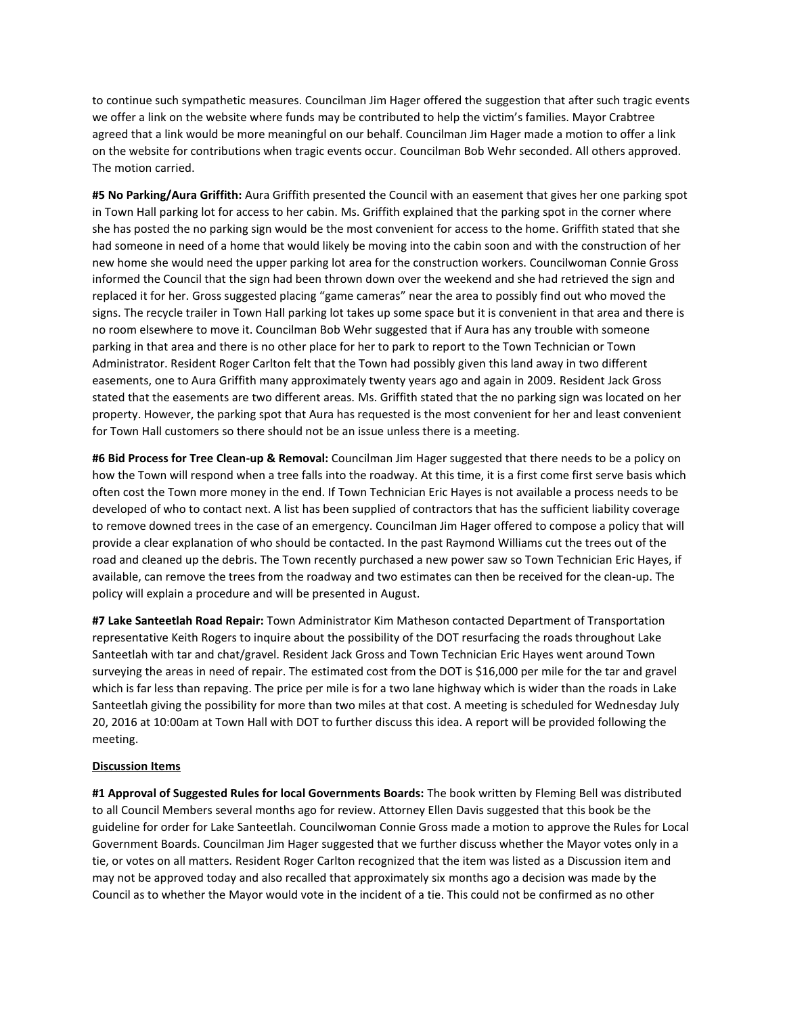to continue such sympathetic measures. Councilman Jim Hager offered the suggestion that after such tragic events we offer a link on the website where funds may be contributed to help the victim's families. Mayor Crabtree agreed that a link would be more meaningful on our behalf. Councilman Jim Hager made a motion to offer a link on the website for contributions when tragic events occur. Councilman Bob Wehr seconded. All others approved. The motion carried.

**#5 No Parking/Aura Griffith:** Aura Griffith presented the Council with an easement that gives her one parking spot in Town Hall parking lot for access to her cabin. Ms. Griffith explained that the parking spot in the corner where she has posted the no parking sign would be the most convenient for access to the home. Griffith stated that she had someone in need of a home that would likely be moving into the cabin soon and with the construction of her new home she would need the upper parking lot area for the construction workers. Councilwoman Connie Gross informed the Council that the sign had been thrown down over the weekend and she had retrieved the sign and replaced it for her. Gross suggested placing "game cameras" near the area to possibly find out who moved the signs. The recycle trailer in Town Hall parking lot takes up some space but it is convenient in that area and there is no room elsewhere to move it. Councilman Bob Wehr suggested that if Aura has any trouble with someone parking in that area and there is no other place for her to park to report to the Town Technician or Town Administrator. Resident Roger Carlton felt that the Town had possibly given this land away in two different easements, one to Aura Griffith many approximately twenty years ago and again in 2009. Resident Jack Gross stated that the easements are two different areas. Ms. Griffith stated that the no parking sign was located on her property. However, the parking spot that Aura has requested is the most convenient for her and least convenient for Town Hall customers so there should not be an issue unless there is a meeting.

**#6 Bid Process for Tree Clean-up & Removal:** Councilman Jim Hager suggested that there needs to be a policy on how the Town will respond when a tree falls into the roadway. At this time, it is a first come first serve basis which often cost the Town more money in the end. If Town Technician Eric Hayes is not available a process needs to be developed of who to contact next. A list has been supplied of contractors that has the sufficient liability coverage to remove downed trees in the case of an emergency. Councilman Jim Hager offered to compose a policy that will provide a clear explanation of who should be contacted. In the past Raymond Williams cut the trees out of the road and cleaned up the debris. The Town recently purchased a new power saw so Town Technician Eric Hayes, if available, can remove the trees from the roadway and two estimates can then be received for the clean-up. The policy will explain a procedure and will be presented in August.

**#7 Lake Santeetlah Road Repair:** Town Administrator Kim Matheson contacted Department of Transportation representative Keith Rogers to inquire about the possibility of the DOT resurfacing the roads throughout Lake Santeetlah with tar and chat/gravel. Resident Jack Gross and Town Technician Eric Hayes went around Town surveying the areas in need of repair. The estimated cost from the DOT is \$16,000 per mile for the tar and gravel which is far less than repaving. The price per mile is for a two lane highway which is wider than the roads in Lake Santeetlah giving the possibility for more than two miles at that cost. A meeting is scheduled for Wednesday July 20, 2016 at 10:00am at Town Hall with DOT to further discuss this idea. A report will be provided following the meeting.

## **Discussion Items**

**#1 Approval of Suggested Rules for local Governments Boards:** The book written by Fleming Bell was distributed to all Council Members several months ago for review. Attorney Ellen Davis suggested that this book be the guideline for order for Lake Santeetlah. Councilwoman Connie Gross made a motion to approve the Rules for Local Government Boards. Councilman Jim Hager suggested that we further discuss whether the Mayor votes only in a tie, or votes on all matters. Resident Roger Carlton recognized that the item was listed as a Discussion item and may not be approved today and also recalled that approximately six months ago a decision was made by the Council as to whether the Mayor would vote in the incident of a tie. This could not be confirmed as no other